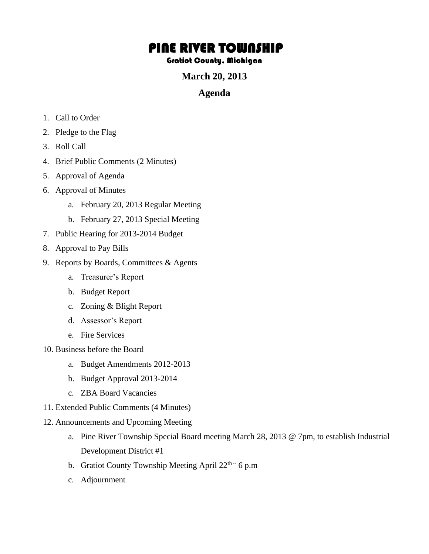# PINE RIVER TOWNSHIP

#### Gratiot County, Michigan

## **March 20, 2013**

#### **Agenda**

- 1. Call to Order
- 2. Pledge to the Flag
- 3. Roll Call
- 4. Brief Public Comments (2 Minutes)
- 5. Approval of Agenda
- 6. Approval of Minutes
	- a. February 20, 2013 Regular Meeting
	- b. February 27, 2013 Special Meeting
- 7. Public Hearing for 2013-2014 Budget
- 8. Approval to Pay Bills
- 9. Reports by Boards, Committees & Agents
	- a. Treasurer's Report
	- b. Budget Report
	- c. Zoning & Blight Report
	- d. Assessor's Report
	- e. Fire Services
- 10. Business before the Board
	- a. Budget Amendments 2012-2013
	- b. Budget Approval 2013-2014
	- c. ZBA Board Vacancies
- 11. Extended Public Comments (4 Minutes)
- 12. Announcements and Upcoming Meeting
	- a. Pine River Township Special Board meeting March 28, 2013 @ 7pm, to establish Industrial Development District #1
	- b. Gratiot County Township Meeting April  $22<sup>th</sup>~6$  p.m
	- c. Adjournment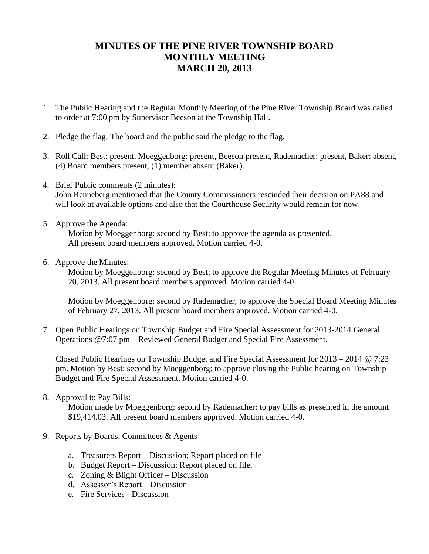## **MINUTES OF THE PINE RIVER TOWNSHIP BOARD MONTHLY MEETING MARCH 20, 2013**

- 1. The Public Hearing and the Regular Monthly Meeting of the Pine River Township Board was called to order at 7:00 pm by Supervisor Beeson at the Township Hall.
- 2. Pledge the flag: The board and the public said the pledge to the flag.
- 3. Roll Call: Best: present, Moeggenborg: present, Beeson present, Rademacher: present, Baker: absent, (4) Board members present, (1) member absent (Baker).
- 4. Brief Public comments (2 minutes): John Renneberg mentioned that the County Commissioners rescinded their decision on PA88 and will look at available options and also that the Courthouse Security would remain for now.
- 5. Approve the Agenda:

Motion by Moeggenborg: second by Best; to approve the agenda as presented. All present board members approved. Motion carried 4-0.

6. Approve the Minutes:

Motion by Moeggenborg: second by Best; to approve the Regular Meeting Minutes of February 20, 2013. All present board members approved. Motion carried 4-0.

Motion by Moeggenborg: second by Rademacher; to approve the Special Board Meeting Minutes of February 27, 2013. All present board members approved. Motion carried 4-0.

7. Open Public Hearings on Township Budget and Fire Special Assessment for 2013-2014 General Operations @7:07 pm – Reviewed General Budget and Special Fire Assessment.

Closed Public Hearings on Township Budget and Fire Special Assessment for 2013 – 2014 @ 7:23 pm. Motion by Best: second by Moeggenborg: to approve closing the Public hearing on Township Budget and Fire Special Assessment. Motion carried 4-0.

8. Approval to Pay Bills:

 Motion made by Moeggenborg: second by Rademacher: to pay bills as presented in the amount \$19,414.03. All present board members approved. Motion carried 4-0.

- 9. Reports by Boards, Committees & Agents
	- a. Treasurers Report Discussion; Report placed on file
	- b. Budget Report Discussion: Report placed on file.
	- c. Zoning & Blight Officer Discussion
	- d. Assessor's Report Discussion
	- e. Fire Services Discussion